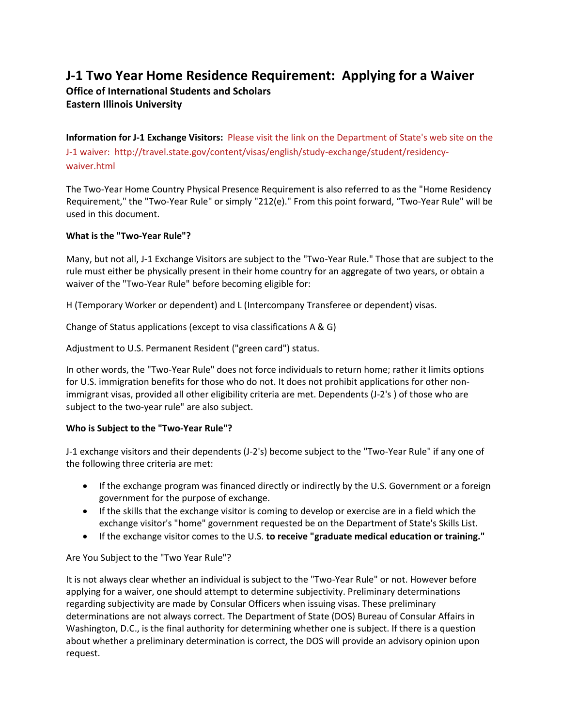# **J-1 Two Year Home Residence Requirement: Applying for a Waiver**

# **Office of International Students and Scholars**

**Eastern Illinois University**

**Information for J-1 Exchange Visitors:** [Please visit the link on the Department](Please%20visit%20the%20link%20on%20the%20Department%20of%20State) of State's web site on the [J-1 waiver: http://travel.state.gov/content/visas/english/study-exchange/student/residency](Please%20visit%20the%20link%20on%20the%20Department%20of%20State)[waiver.html](Please%20visit%20the%20link%20on%20the%20Department%20of%20State)

The Two-Year Home Country Physical Presence Requirement is also referred to as the "Home Residency Requirement," the "Two-Year Rule" or simply "212(e)." From this point forward, "Two-Year Rule" will be used in this document.

# **What is the "Two-Year Rule"?**

Many, but not all, J-1 Exchange Visitors are subject to the "Two-Year Rule." Those that are subject to the rule must either be physically present in their home country for an aggregate of two years, or obtain a waiver of the "Two-Year Rule" before becoming eligible for:

H (Temporary Worker or dependent) and L (Intercompany Transferee or dependent) visas.

Change of Status applications (except to visa classifications A & G)

Adjustment to U.S. Permanent Resident ("green card") status.

In other words, the "Two-Year Rule" does not force individuals to return home; rather it limits options for U.S. immigration benefits for those who do not. It does not prohibit applications for other nonimmigrant visas, provided all other eligibility criteria are met. Dependents (J-2's ) of those who are subject to the two-year rule" are also subject.

## **Who is Subject to the "Two-Year Rule"?**

J-1 exchange visitors and their dependents (J-2's) become subject to the "Two-Year Rule" if any one of the following three criteria are met:

- If the exchange program was financed directly or indirectly by the U.S. Government or a foreign government for the purpose of exchange.
- If the skills that the exchange visitor is coming to develop or exercise are in a field which the exchange visitor's "home" government requested be on the Department of State's Skills List.
- If the exchange visitor comes to the U.S. **to receive "graduate medical education or training."**

# Are You Subject to the "Two Year Rule"?

It is not always clear whether an individual is subject to the "Two-Year Rule" or not. However before applying for a waiver, one should attempt to determine subjectivity. Preliminary determinations regarding subjectivity are made by Consular Officers when issuing visas. These preliminary determinations are not always correct. The Department of State (DOS) Bureau of Consular Affairs in Washington, D.C., is the final authority for determining whether one is subject. If there is a question about whether a preliminary determination is correct, the DOS will provide an advisory opinion upon request.